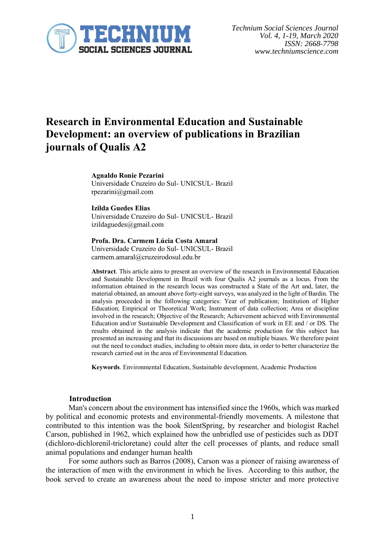

# **Research in Environmental Education and Sustainable Development: an overview of publications in Brazilian journals of Qualis A2**

#### **Agnaldo Ronie Pezarini**

Universidade Cruzeiro do Sul- UNICSUL- Brazil rpezarini@gmail.com

#### **Izilda Guedes Elias**

Universidade Cruzeiro do Sul- UNICSUL- Brazil izildaguedes@gmail.com

**Profa. Dra. Carmem Lúcia Costa Amaral** Universidade Cruzeiro do Sul- UNICSUL- Brazil carmem.amaral@cruzeirodosul.edu.br

**Abstract**. This article aims to present an overview of the research in Environmental Education and Sustainable Development in Brazil with four Qualis A2 journals as a locus. From the information obtained in the research locus was constructed a State of the Art and, later, the material obtained, an amount above forty-eight surveys, was analyzed in the light of Bardin. The analysis proceeded in the following categories: Year of publication; Institution of Higher Education; Empirical or Theoretical Work; Instrument of data collection; Area or discipline involved in the research; Objective of the Research; Achievement achieved with Environmental Education and/or Sustainable Development and Classification of work in EE and / or DS. The results obtained in the analysis indicate that the academic production for this subject has presented an increasing and that its discussions are based on multiple biases. We therefore point out the need to conduct studies, including to obtain more data, in order to better characterize the research carried out in the area of Environmental Education.

**Keywords**. Environmental Education, Sustainable development, Academic Production

#### **Introduction**

Man's concern about the environment has intensified since the 1960s, which was marked by political and economic protests and environmental-friendly movements. A milestone that contributed to this intention was the book SilentSpring, by researcher and biologist Rachel Carson, published in 1962, which explained how the unbridled use of pesticides such as DDT (dichloro-dichlorenil-tricloretane) could alter the cell processes of plants, and reduce small animal populations and endanger human health

For some authors such as Barros (2008), Carson was a pioneer of raising awareness of the interaction of men with the environment in which he lives. According to this author, the book served to create an awareness about the need to impose stricter and more protective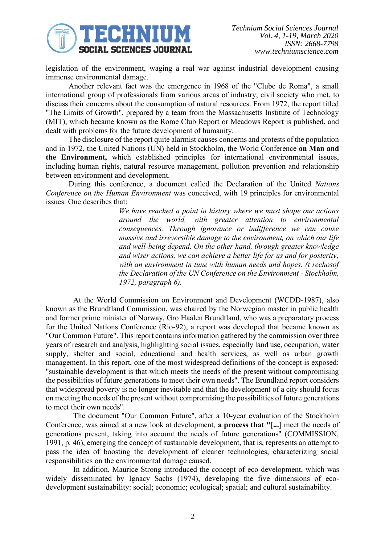

legislation of the environment, waging a real war against industrial development causing immense environmental damage.

Another relevant fact was the emergence in 1968 of the "Clube de Roma", a small international group of professionals from various areas of industry, civil society who met, to discuss their concerns about the consumption of natural resources. From 1972, the report titled "The Limits of Growth", prepared by a team from the Massachusetts Institute of Technology (MIT), which became known as the Rome Club Report or Meadows Report is published, and dealt with problems for the future development of humanity.

The disclosure of the report quite alarmist causes concerns and protests of the population and in 1972, the United Nations (UN) held in Stockholm, the World Conference **on Man and the Environment,** which established principles for international environmental issues, including human rights, natural resource management, pollution prevention and relationship between environment and development.

During this conference, a document called the Declaration of the United *Nations Conference on the Human Environment* was conceived, with 19 principles for environmental issues. One describes that:

> *We have reached a point in history where we must shape our actions around the world, with greater attention to environmental consequences. Through ignorance or indifference we can cause massive and irreversible damage to the environment, on which our life and well-being depend. On the other hand, through greater knowledge and wiser actions, we can achieve a better life for us and for posterity, with an environment in tune with human needs and hopes. (t rechosof the Declaration of the UN Conference on the Environment - Stockholm, 1972, paragraph 6).*

At the World Commission on Environment and Development (WCDD-1987), also known as the Brundtland Commission, was chaired by the Norwegian master in public health and former prime minister of Norway, Gro Haalen Brundtland, who was a preparatory process for the United Nations Conference (Rio-92), a report was developed that became known as "Our Common Future". This report contains information gathered by the commission over three years of research and analysis, highlighting social issues, especially land use, occupation, water supply, shelter and social, educational and health services, as well as urban growth management. In this report, one of the most widespread definitions of the concept is exposed: "sustainable development is that which meets the needs of the present without compromising the possibilities of future generations to meet their own needs". The Brundland report considers that widespread poverty is no longer inevitable and that the development of a city should focus on meeting the needs of the present without compromising the possibilities of future generations to meet their own needs".

The document "Our Common Future", after a 10-year evaluation of the Stockholm Conference, was aimed at a new look at development, **a process that "[...]** meet the needs of generations present, taking into account the needs of future generations" (COMMISSION, 1991, p. 46), emerging the concept of sustainable development, that is, represents an attempt to pass the idea of boosting the development of cleaner technologies, characterizing social responsibilities on the environmental damage caused.

In addition, Maurice Strong introduced the concept of eco-development, which was widely disseminated by Ignacy Sachs (1974), developing the five dimensions of ecodevelopment sustainability: social; economic; ecological; spatial; and cultural sustainability.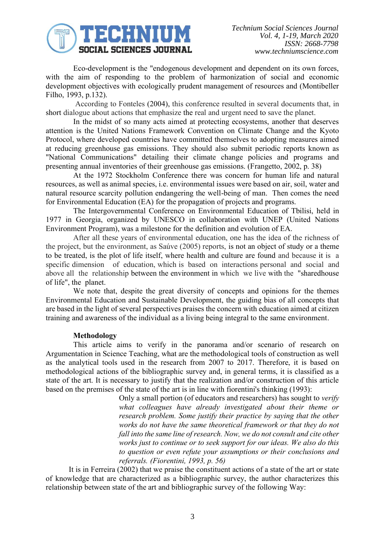

Eco-development is the "endogenous development and dependent on its own forces, with the aim of responding to the problem of harmonization of social and economic development objectives with ecologically prudent management of resources and (Montibeller Filho, 1993, p.132).

According to Fonteles (2004), this conference resulted in several documents that, in short dialogue about actions that emphasize the real and urgent need to save the planet.

In the midst of so many acts aimed at protecting ecosystems, another that deserves attention is the United Nations Framework Convention on Climate Change and the Kyoto Protocol, where developed countries have committed themselves to adopting measures aimed at reducing greenhouse gas emissions. They should also submit periodic reports known as "National Communications" detailing their climate change policies and programs and presenting annual inventories of their greenhouse gas emissions. (Frangetto, 2002, p. 38)

At the 1972 Stockholm Conference there was concern for human life and natural resources, as well as animal species, i.e. environmental issues were based on air, soil, water and natural resource scarcity pollution endangering the well-being of man. Then comes the need for Environmental Education (EA) for the propagation of projects and programs.

The Intergovernmental Conference on Environmental Education of Tbilisi, held in 1977 in Georgia, organized by UNESCO in collaboration with UNEP (United Nations Environment Program), was a milestone for the definition and evolution of EA.

After all these years of environmental education, one has the idea of the richness of the project, but the environment, as Saúve (2005) reports, is not an object of study or a theme to be treated, is the plot of life itself, where health and culture are found and because it is a specific dimension of education, which is based on interactions personal and social and above all the relationship between the environment in which we live with the "sharedhouse of life", the planet.

We note that, despite the great diversity of concepts and opinions for the themes Environmental Education and Sustainable Development, the guiding bias of all concepts that are based in the light of several perspectives praises the concern with education aimed at citizen training and awareness of the individual as a living being integral to the same environment.

## **Methodology**

This article aims to verify in the panorama and/or scenario of research on Argumentation in Science Teaching, what are the methodological tools of construction as well as the analytical tools used in the research from 2007 to 2017. Therefore, it is based on methodological actions of the bibliographic survey and, in general terms, it is classified as a state of the art. It is necessary to justify that the realization and/or construction of this article based on the premises of the state of the art is in line with fiorentini's thinking (1993):

> Only a small portion (of educators and researchers) has sought to *verify what colleagues have already investigated about their theme or research problem. Some justify their practice by saying that the other works do not have the same theoretical framework or that they do not fall into the same line of research. Now, we do not consult and cite other works just to continue or to seek support for our ideas. We also do this to question or even refute your assumptions or their conclusions and referrals. (Fiorentini, 1993, p. 56)*

It is in Ferreira (2002) that we praise the constituent actions of a state of the art or state of knowledge that are characterized as a bibliographic survey, the author characterizes this relationship between state of the art and bibliographic survey of the following Way: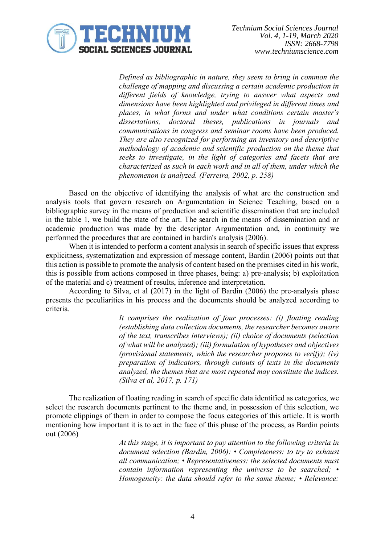

*Defined as bibliographic in nature, they seem to bring in common the challenge of mapping and discussing a certain academic production in different fields of knowledge, trying to answer what aspects and dimensions have been highlighted and privileged in different times and places, in what forms and under what conditions certain master's dissertations, doctoral theses, publications in journals and communications in congress and seminar rooms have been produced. They are also recognized for performing an inventory and descriptive methodology of academic and scientific production on the theme that seeks to investigate, in the light of categories and facets that are characterized as such in each work and in all of them, under which the phenomenon is analyzed. (Ferreira, 2002, p. 258)*

Based on the objective of identifying the analysis of what are the construction and analysis tools that govern research on Argumentation in Science Teaching, based on a bibliographic survey in the means of production and scientific dissemination that are included in the table 1, we build the state of the art. The search in the means of dissemination and or academic production was made by the descriptor Argumentation and, in continuity we performed the procedures that are contained in bardin's analysis (2006).

When it is intended to perform a content analysis in search of specific issues that express explicitness, systematization and expression of message content, Bardin (2006) points out that this action is possible to promote the analysis of content based on the premises cited in his work, this is possible from actions composed in three phases, being: a) pre-analysis; b) exploitation of the material and c) treatment of results, inference and interpretation.

According to Silva, et al (2017) in the light of Bardin (2006) the pre-analysis phase presents the peculiarities in his process and the documents should be analyzed according to criteria.

> *It comprises the realization of four processes: (i) floating reading (establishing data collection documents, the researcher becomes aware of the text, transcribes interviews); (ii) choice of documents (selection of what will be analyzed); (iii) formulation of hypotheses and objectives (provisional statements, which the researcher proposes to verify); (iv) preparation of indicators, through cutouts of texts in the documents analyzed, the themes that are most repeated may constitute the indices. (Silva et al, 2017, p. 171)*

The realization of floating reading in search of specific data identified as categories, we select the research documents pertinent to the theme and, in possession of this selection, we promote clippings of them in order to compose the focus categories of this article. It is worth mentioning how important it is to act in the face of this phase of the process, as Bardin points out (2006)

> *At this stage, it is important to pay attention to the following criteria in document selection (Bardin, 2006): • Completeness: to try to exhaust all communication; • Representativeness: the selected documents must contain information representing the universe to be searched; • Homogeneity: the data should refer to the same theme; • Relevance:*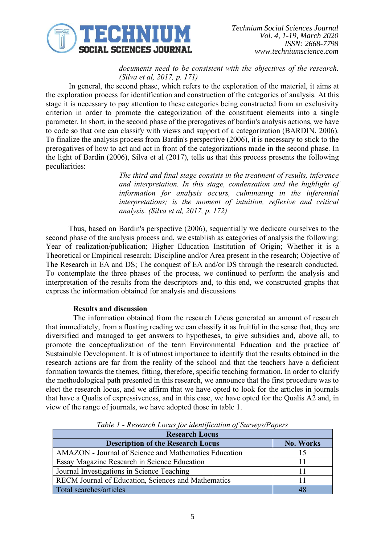

# *documents need to be consistent with the objectives of the research. (Silva et al, 2017, p. 171)*

In general, the second phase, which refers to the exploration of the material, it aims at the exploration process for identification and construction of the categories of analysis. At this stage it is necessary to pay attention to these categories being constructed from an exclusivity criterion in order to promote the categorization of the constituent elements into a single parameter. In short, in the second phase of the prerogatives of bardin's analysis actions, we have to code so that one can classify with views and support of a categorization (BARDIN, 2006). To finalize the analysis process from Bardin's perspective (2006), it is necessary to stick to the prerogatives of how to act and act in front of the categorizations made in the second phase. In the light of Bardin (2006), Silva et al (2017), tells us that this process presents the following peculiarities:

> *The third and final stage consists in the treatment of results, inference and interpretation. In this stage, condensation and the highlight of information for analysis occurs, culminating in the inferential interpretations; is the moment of intuition, reflexive and critical analysis. (Silva et al, 2017, p. 172)*

Thus, based on Bardin's perspective (2006), sequentially we dedicate ourselves to the second phase of the analysis process and, we establish as categories of analysis the following: Year of realization/publication; Higher Education Institution of Origin; Whether it is a Theoretical or Empirical research; Discipline and/or Area present in the research; Objective of The Research in EA and DS; The conquest of EA and/or DS through the research conducted. To contemplate the three phases of the process, we continued to perform the analysis and interpretation of the results from the descriptors and, to this end, we constructed graphs that express the information obtained for analysis and discussions

# **Results and discussion**

The information obtained from the research Lócus generated an amount of research that immediately, from a floating reading we can classify it as fruitful in the sense that, they are diversified and managed to get answers to hypotheses, to give subsidies and, above all, to promote the conceptualization of the term Environmental Education and the practice of Sustainable Development. It is of utmost importance to identify that the results obtained in the research actions are far from the reality of the school and that the teachers have a deficient formation towards the themes, fitting, therefore, specific teaching formation. In order to clarify the methodological path presented in this research, we announce that the first procedure was to elect the research locus, and we affirm that we have opted to look for the articles in journals that have a Qualis of expressiveness, and in this case, we have opted for the Qualis A2 and, in view of the range of journals, we have adopted those in table 1.

| <b>Research Locus</b>                                 |                  |  |
|-------------------------------------------------------|------------------|--|
| <b>Description of the Research Locus</b>              | <b>No. Works</b> |  |
| AMAZON - Journal of Science and Mathematics Education |                  |  |
| Essay Magazine Research in Science Education          |                  |  |
| Journal Investigations in Science Teaching            |                  |  |
| RECM Journal of Education, Sciences and Mathematics   |                  |  |
| Total searches/articles                               |                  |  |

*Table 1 - Research Locus for identification of Surveys/Papers*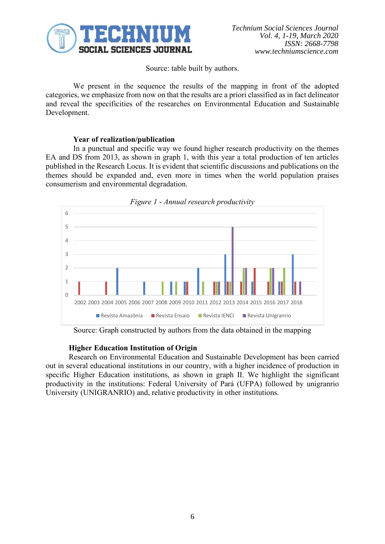

Source: table built by authors.

We present in the sequence the results of the mapping in front of the adopted categories, we emphasize from now on that the results are a priori classified as in fact delineator and reveal the specificities of the researches on Environmental Education and Sustainable Development.

# **Year of realization/publication**

In a punctual and specific way we found higher research productivity on the themes EA and DS from 2013, as shown in graph 1, with this year a total production of ten articles published in the Research Locus. It is evident that scientific discussions and publications on the themes should be expanded and, even more in times when the world population praises consumerism and environmental degradation.



Source: Graph constructed by authors from the data obtained in the mapping

## **Higher Education Institution of Origin**

Research on Environmental Education and Sustainable Development has been carried out in several educational institutions in our country, with a higher incidence of production in specific Higher Education institutions, as shown in graph II. We highlight the significant productivity in the institutions: Federal University of Pará (UFPA) followed by unigranrio University (UNIGRANRIO) and, relative productivity in other institutions.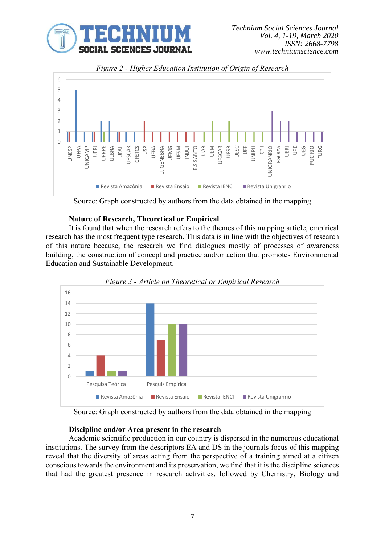



*Figure 2 - Higher Education Institution of Origin of Research*

Source: Graph constructed by authors from the data obtained in the mapping

# **Nature of Research, Theoretical or Empirical**

It is found that when the research refers to the themes of this mapping article, empirical research has the most frequent type research. This data is in line with the objectives of research of this nature because, the research we find dialogues mostly of processes of awareness building, the construction of concept and practice and/or action that promotes Environmental Education and Sustainable Development.





Source: Graph constructed by authors from the data obtained in the mapping

## **Discipline and/or Area present in the research**

Academic scientific production in our country is dispersed in the numerous educational institutions. The survey from the descriptors EA and DS in the journals focus of this mapping reveal that the diversity of areas acting from the perspective of a training aimed at a citizen conscious towards the environment and its preservation, we find that it is the discipline sciences that had the greatest presence in research activities, followed by Chemistry, Biology and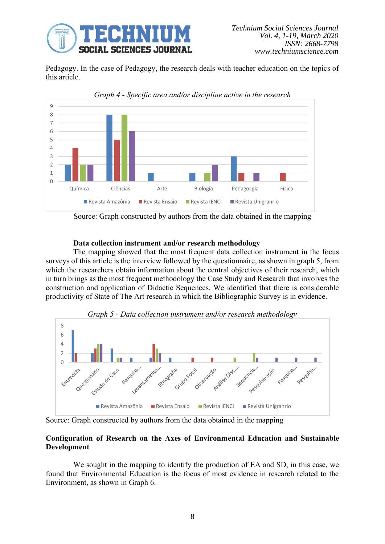

Pedagogy. In the case of Pedagogy, the research deals with teacher education on the topics of this article.



Source: Graph constructed by authors from the data obtained in the mapping

# **Data collection instrument and/or research methodology**

The mapping showed that the most frequent data collection instrument in the focus surveys of this article is the interview followed by the questionnaire, as shown in graph 5, from which the researchers obtain information about the central objectives of their research, which in turn brings as the most frequent methodology the Case Study and Research that involves the construction and application of Didactic Sequences. We identified that there is considerable productivity of State of The Art research in which the Bibliographic Survey is in evidence.



*Graph 5 - Data collection instrument and/or research methodology*

Source: Graph constructed by authors from the data obtained in the mapping

# **Configuration of Research on the Axes of Environmental Education and Sustainable Development**

We sought in the mapping to identify the production of EA and SD, in this case, we found that Environmental Education is the focus of most evidence in research related to the Environment, as shown in Graph 6.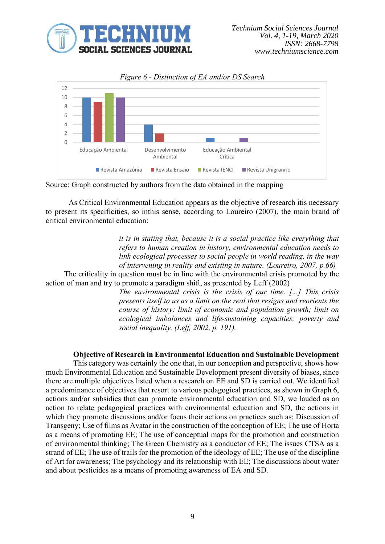



*Figure 6 - Distinction of EA and/or DS Search*

As Critical Environmental Education appears as the objective of research itis necessary to present its specificities, so inthis sense, according to Loureiro (2007), the main brand of critical environmental education:

> *it is in stating that, because it is a social practice like everything that refers to human creation in history, environmental education needs to link ecological processes to social people in world reading, in the way of intervening in reality and existing in nature. (Loureiro, 2007, p.66)*

The criticality in question must be in line with the environmental crisis promoted by the action of man and try to promote a paradigm shift, as presented by Leff (2002)

> *The environmental crisis is the crisis of our time. [...] This crisis presents itself to us as a limit on the real that resigns and reorients the course of history: limit of economic and population growth; limit on ecological imbalances and life-sustaining capacities; poverty and social inequality. (Leff, 2002, p. 191).*

## **Objective of Research in Environmental Education and Sustainable Development**

This category was certainly the one that, in our conception and perspective, shows how much Environmental Education and Sustainable Development present diversity of biases, since there are multiple objectives listed when a research on EE and SD is carried out. We identified a predominance of objectives that resort to various pedagogical practices, as shown in Graph 6, actions and/or subsidies that can promote environmental education and SD, we lauded as an action to relate pedagogical practices with environmental education and SD, the actions in which they promote discussions and/or focus their actions on practices such as: Discussion of Transgeny; Use of films as Avatar in the construction of the conception of EE; The use of Horta as a means of promoting EE; The use of conceptual maps for the promotion and construction of environmental thinking; The Green Chemistry as a conductor of EE; The issues CTSA as a strand of EE; The use of trails for the promotion of the ideology of EE; The use of the discipline of Art for awareness; The psychology and its relationship with EE; The discussions about water and about pesticides as a means of promoting awareness of EA and SD.

Source: Graph constructed by authors from the data obtained in the mapping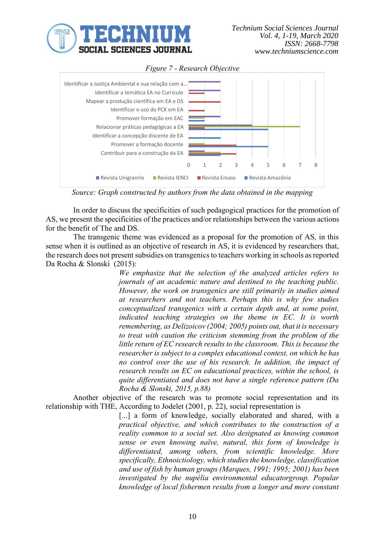



*Figure 7 - Research Objective*

*Source: Graph constructed by authors from the data obtained in the mapping*

In order to discuss the specificities of such pedagogical practices for the promotion of AS, we present the specificities of the practices and/or relationships between the various actions for the benefit of The and DS.

The transgenic theme was evidenced as a proposal for the promotion of AS, in this sense when it is outlined as an objective of research in AS, it is evidenced by researchers that, the research does not present subsidies on transgenics to teachers working in schools as reported Da Rocha & Slonski (2015):

> *We emphasize that the selection of the analyzed articles refers to journals of an academic nature and destined to the teaching public. However, the work on transgenics are still primarily in studies aimed at researchers and not teachers. Perhaps this is why few studies conceptualized transgenics with a certain depth and, at some point, indicated teaching strategies on the theme in EC. It is worth remembering, as Delizoicov (2004; 2005) points out, that it is necessary to treat with caution the criticism stemming from the problem of the little return of EC research results to the classroom. This is because the researcher is subject to a complex educational context, on which he has no control over the use of his research. In addition, the impact of research results on EC on educational practices, within the school, is quite differentiated and does not have a single reference pattern (Da Rocha & Slonski, 2015, p.88)*

Another objective of the research was to promote social representation and its relationship with THE, According to Jodelet (2001, p. 22), social representation is

> [...] a form of knowledge, socially elaborated and shared, with a *practical objective, and which contributes to the construction of a reality common to a social set. Also designated as knowing common sense or even knowing naïve, natural, this form of knowledge is differentiated, among others, from scientific knowledge. More specifically, Ethnoictiology, which studies the knowledge, classification and use of fish by human groups (Marques, 1991; 1995; 2001) has been investigated by the nupélia environmental educatorgroup. Popular knowledge of local fishermen results from a longer and more constant*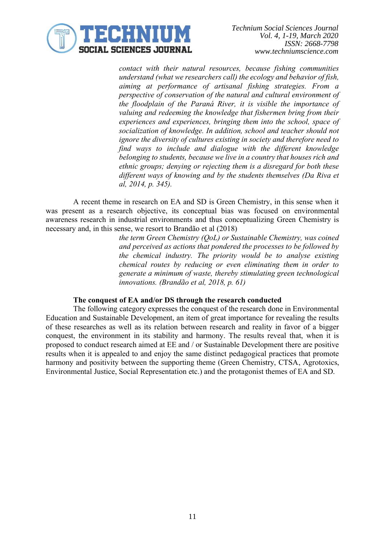

*contact with their natural resources, because fishing communities understand (what we researchers call) the ecology and behavior of fish, aiming at performance of artisanal fishing strategies. From a perspective of conservation of the natural and cultural environment of the floodplain of the Paraná River, it is visible the importance of valuing and redeeming the knowledge that fishermen bring from their experiences and experiences, bringing them into the school, space of socialization of knowledge. In addition, school and teacher should not ignore the diversity of cultures existing in society and therefore need to find ways to include and dialogue with the different knowledge belonging to students, because we live in a country that houses rich and ethnic groups; denying or rejecting them is a disregard for both these different ways of knowing and by the students themselves (Da Riva et al, 2014, p. 345).*

A recent theme in research on EA and SD is Green Chemistry, in this sense when it was present as a research objective, its conceptual bias was focused on environmental awareness research in industrial environments and thus conceptualizing Green Chemistry is necessary and, in this sense, we resort to Brandão et al (2018)

> *the term Green Chemistry (QoL) or Sustainable Chemistry, was coined and perceived as actions that pondered the processes to be followed by the chemical industry. The priority would be to analyse existing chemical routes by reducing or even eliminating them in order to generate a minimum of waste, thereby stimulating green technological innovations. (Brandão et al, 2018, p. 61)*

# **The conquest of EA and/or DS through the research conducted**

The following category expresses the conquest of the research done in Environmental Education and Sustainable Development, an item of great importance for revealing the results of these researches as well as its relation between research and reality in favor of a bigger conquest, the environment in its stability and harmony. The results reveal that, when it is proposed to conduct research aimed at EE and / or Sustainable Development there are positive results when it is appealed to and enjoy the same distinct pedagogical practices that promote harmony and positivity between the supporting theme (Green Chemistry, CTSA, Agrotoxics, Environmental Justice, Social Representation etc.) and the protagonist themes of EA and SD.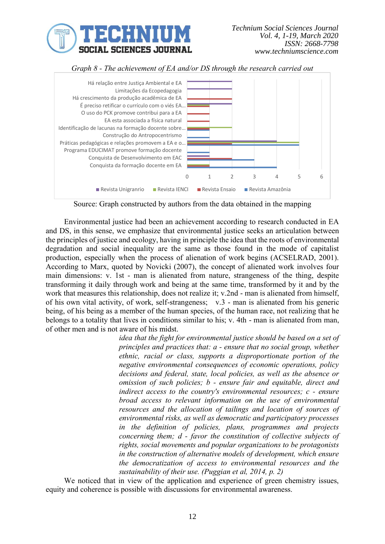





Source: Graph constructed by authors from the data obtained in the mapping

Environmental justice had been an achievement according to research conducted in EA and DS, in this sense, we emphasize that environmental justice seeks an articulation between the principles of justice and ecology, having in principle the idea that the roots of environmental degradation and social inequality are the same as those found in the mode of capitalist production, especially when the process of alienation of work begins (ACSELRAD, 2001). According to Marx, quoted by Novicki (2007), the concept of alienated work involves four main dimensions: v. 1st - man is alienated from nature, strangeness of the thing, despite transforming it daily through work and being at the same time, transformed by it and by the work that measures this relationship, does not realize it; v.2nd - man is alienated from himself, of his own vital activity, of work, self-strangeness; v.3 - man is alienated from his generic being, of his being as a member of the human species, of the human race, not realizing that he belongs to a totality that lives in conditions similar to his; v. 4th - man is alienated from man, of other men and is not aware of his midst.

*idea that the fight for environmental justice should be based on a set of principles and practices that: a - ensure that no social group, whether ethnic, racial or class, supports a disproportionate portion of the negative environmental consequences of economic operations, policy decisions and federal, state, local policies, as well as the absence or omission of such policies; b - ensure fair and equitable, direct and indirect access to the country's environmental resources; c - ensure broad access to relevant information on the use of environmental resources and the allocation of tailings and location of sources of environmental risks, as well as democratic and participatory processes in the definition of policies, plans, programmes and projects concerning them; d - favor the constitution of collective subjects of rights, social movements and popular organizations to be protagonists in the construction of alternative models of development, which ensure the democratization of access to environmental resources and the sustainability of their use. (Puggian et al, 2014, p. 2)*

We noticed that in view of the application and experience of green chemistry issues, equity and coherence is possible with discussions for environmental awareness.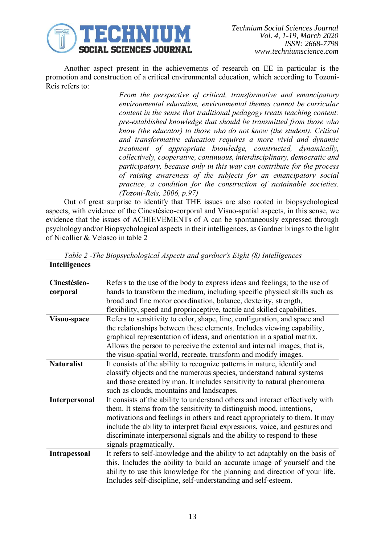

Another aspect present in the achievements of research on EE in particular is the promotion and construction of a critical environmental education, which according to Tozoni-Reis refers to:

> *From the perspective of critical, transformative and emancipatory environmental education, environmental themes cannot be curricular content in the sense that traditional pedagogy treats teaching content: pre-established knowledge that should be transmitted from those who know (the educator) to those who do not know (the student). Critical and transformative education requires a more vivid and dynamic treatment of appropriate knowledge, constructed, dynamically, collectively, cooperative, continuous, interdisciplinary, democratic and participatory, because only in this way can contribute for the process of raising awareness of the subjects for an emancipatory social practice, a condition for the construction of sustainable societies. (Tozoni-Reis, 2006, p.97)*

Out of great surprise to identify that THE issues are also rooted in biopsychological aspects, with evidence of the Cinestésico-corporal and Visuo-spatial aspects, in this sense, we evidence that the issues of ACHIEVEMENTs of A can be spontaneously expressed through psychology and/or Biopsychological aspects in their intelligences, as Gardner brings to the light of Nicollier & Velasco in table 2

| <b>Intelligences</b> |                                                                               |
|----------------------|-------------------------------------------------------------------------------|
| Cinestésico-         | Refers to the use of the body to express ideas and feelings; to the use of    |
| corporal             | hands to transform the medium, including specific physical skills such as     |
|                      | broad and fine motor coordination, balance, dexterity, strength,              |
|                      | flexibility, speed and proprioceptive, tactile and skilled capabilities.      |
| Visuo-space          | Refers to sensitivity to color, shape, line, configuration, and space and     |
|                      | the relationships between these elements. Includes viewing capability,        |
|                      | graphical representation of ideas, and orientation in a spatial matrix.       |
|                      | Allows the person to perceive the external and internal images, that is,      |
|                      | the visuo-spatial world, recreate, transform and modify images.               |
| <b>Naturalist</b>    | It consists of the ability to recognize patterns in nature, identify and      |
|                      | classify objects and the numerous species, understand natural systems         |
|                      | and those created by man. It includes sensitivity to natural phenomena        |
|                      | such as clouds, mountains and landscapes.                                     |
| <b>Interpersonal</b> | It consists of the ability to understand others and interact effectively with |
|                      | them. It stems from the sensitivity to distinguish mood, intentions,          |
|                      | motivations and feelings in others and react appropriately to them. It may    |
|                      | include the ability to interpret facial expressions, voice, and gestures and  |
|                      | discriminate interpersonal signals and the ability to respond to these        |
|                      | signals pragmatically.                                                        |
| <b>Intrapessoal</b>  | It refers to self-knowledge and the ability to act adaptably on the basis of  |
|                      | this. Includes the ability to build an accurate image of yourself and the     |
|                      | ability to use this knowledge for the planning and direction of your life.    |
|                      | Includes self-discipline, self-understanding and self-esteem.                 |

*Table 2 -The Biopsychological Aspects and gardner's Eight (8) Intelligences*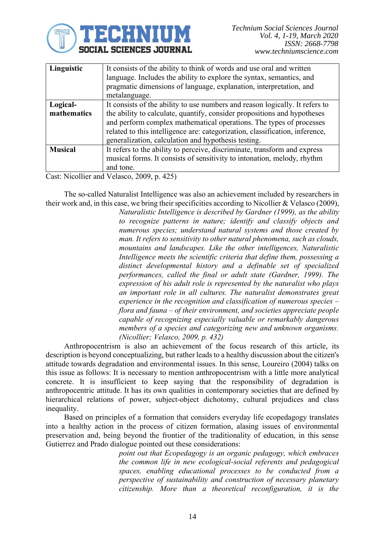

| Linguistic     | It consists of the ability to think of words and use oral and written        |
|----------------|------------------------------------------------------------------------------|
|                | language. Includes the ability to explore the syntax, semantics, and         |
|                | pragmatic dimensions of language, explanation, interpretation, and           |
|                | metalanguage.                                                                |
| Logical-       | It consists of the ability to use numbers and reason logically. It refers to |
| mathematics    | the ability to calculate, quantify, consider propositions and hypotheses     |
|                | and perform complex mathematical operations. The types of processes          |
|                | related to this intelligence are: categorization, classification, inference, |
|                | generalization, calculation and hypothesis testing.                          |
| <b>Musical</b> | It refers to the ability to perceive, discriminate, transform and express    |
|                | musical forms. It consists of sensitivity to intonation, melody, rhythm      |
|                | and tone.                                                                    |

Cast: Nicollier and Velasco, 2009, p. 425)

The so-called Naturalist Intelligence was also an achievement included by researchers in their work and, in this case, we bring their specificities according to Nicollier & Velasco (2009),

> *Naturalistic Intelligence is described by Gardner (1999), as the ability to recognize patterns in nature; identify and classify objects and numerous species; understand natural systems and those created by man. It refers to sensitivity to other natural phenomena, such as clouds, mountains and landscapes. Like the other intelligences, Naturalistic Intelligence meets the scientific criteria that define them, possessing a distinct developmental history and a definable set of specialized performances, called the final or adult state (Gardner, 1999). The expression of his adult role is represented by the naturalist who plays an important role in all cultures. The naturalist demonstrates great experience in the recognition and classification of numerous species – flora and fauna – of their environment, and societies appreciate people capable of recognizing especially valuable or remarkably dangerous members of a species and categorizing new and unknown organisms. (Nicollier; Velasco, 2009, p. 432)*

Anthropocentrism is also an achievement of the focus research of this article, its description is beyond conceptualizing, but rather leads to a healthy discussion about the citizen's attitude towards degradation and environmental issues. In this sense, Loureiro (2004) talks on this issue as follows: It is necessary to mention anthropocentrism with a little more analytical concrete. It is insufficient to keep saying that the responsibility of degradation is anthropocentric attitude. It has its own qualities in contemporary societies that are defined by hierarchical relations of power, subject-object dichotomy, cultural prejudices and class inequality.

Based on principles of a formation that considers everyday life ecopedagogy translates into a healthy action in the process of citizen formation, alasing issues of environmental preservation and, being beyond the frontier of the traditionality of education, in this sense Gutierrez and Prado dialogue pointed out these considerations:

> *point out that Ecopedagogy is an organic pedagogy, which embraces the common life in new ecological-social referents and pedagogical spaces, enabling educational processes to be conducted from a perspective of sustainability and construction of necessary planetary citizenship. More than a theoretical reconfiguration, it is the*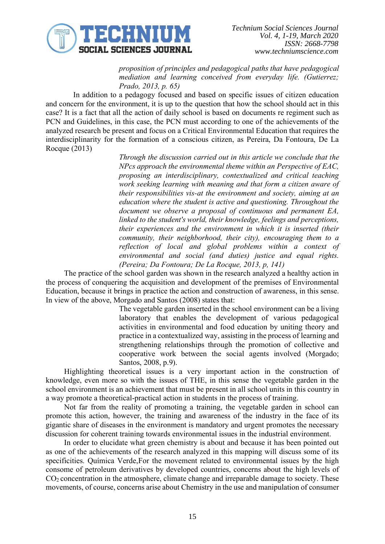

*proposition of principles and pedagogical paths that have pedagogical mediation and learning conceived from everyday life. (Gutierrez; Prado, 2013, p. 65)*

In addition to a pedagogy focused and based on specific issues of citizen education and concern for the environment, it is up to the question that how the school should act in this case? It is a fact that all the action of daily school is based on documents re regiment such as PCN and Guidelines, in this case, the PCN must according to one of the achievements of the analyzed research be present and focus on a Critical Environmental Education that requires the interdisciplinarity for the formation of a conscious citizen, as Pereira, Da Fontoura, De La Rocque (2013)

> *Through the discussion carried out in this article we conclude that the NPcs approach the environmental theme within an Perspective of EAC, proposing an interdisciplinary, contextualized and critical teaching work seeking learning with meaning and that form a citizen aware of their responsibilities vis-at the environment and society, aiming at an education where the student is active and questioning. Throughout the document we observe a proposal of continuous and permanent EA, linked to the student's world, their knowledge, feelings and perceptions, their experiences and the environment in which it is inserted (their community, their neighborhood, their city), encouraging them to a reflection of local and global problems within a context of environmental and social (and duties) justice and equal rights. (Pereira; Da Fontoura; De La Rocque, 2013, p, 141)*

The practice of the school garden was shown in the research analyzed a healthy action in the process of conquering the acquisition and development of the premises of Environmental Education, because it brings in practice the action and construction of awareness, in this sense. In view of the above, Morgado and Santos (2008) states that:

> The vegetable garden inserted in the school environment can be a living laboratory that enables the development of various pedagogical activities in environmental and food education by uniting theory and practice in a contextualized way, assisting in the process of learning and strengthening relationships through the promotion of collective and cooperative work between the social agents involved (Morgado; Santos, 2008, p.9).

Highlighting theoretical issues is a very important action in the construction of knowledge, even more so with the issues of THE, in this sense the vegetable garden in the school environment is an achievement that must be present in all school units in this country in a way promote a theoretical-practical action in students in the process of training.

Not far from the reality of promoting a training, the vegetable garden in school can promote this action, however, the training and awareness of the industry in the face of its gigantic share of diseases in the environment is mandatory and urgent promotes the necessary discussion for coherent training towards environmental issues in the industrial environment.

In order to elucidate what green chemistry is about and because it has been pointed out as one of the achievements of the research analyzed in this mapping will discuss some of its specificities. Química Verde,For the movement related to environmental issues by the high consome of petroleum derivatives by developed countries, concerns about the high levels of  $CO<sub>2</sub>$  concentration in the atmosphere, climate change and irreparable damage to society. These movements, of course, concerns arise about Chemistry in the use and manipulation of consumer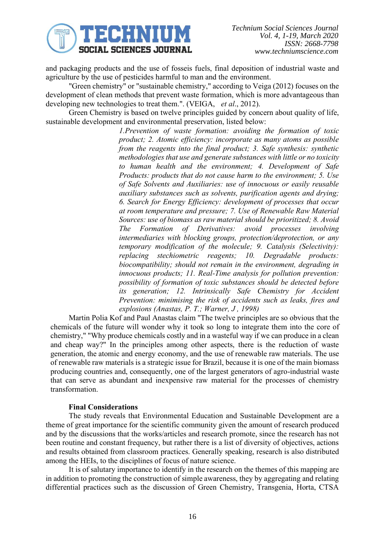

and packaging products and the use of fosseis fuels, final deposition of industrial waste and agriculture by the use of pesticides harmful to man and the environment.

"Green chemistry" or "sustainable chemistry," according to Veiga (2012) focuses on the development of clean methods that prevent waste formation, which is more advantageous than developing new technologies to treat them.". (VEIGA, *et al*., 2012).

Green Chemistry is based on twelve principles guided by concern about quality of life, sustainable development and environmental preservation, listed below:

> *1.Prevention of waste formation: avoiding the formation of toxic product; 2. Atomic efficiency: incorporate as many atoms as possible from the reagents into the final product; 3. Safe synthesis: synthetic methodologies that use and generate substances with little or no toxicity to human health and the environment; 4. Development of Safe Products: products that do not cause harm to the environment; 5. Use of Safe Solvents and Auxiliaries: use of innocuous or easily reusable auxiliary substances such as solvents, purification agents and drying; 6. Search for Energy Efficiency: development of processes that occur at room temperature and pressure; 7. Use of Renewable Raw Material Sources: use of biomass as raw material should be prioritized; 8. Avoid The Formation of Derivatives: avoid processes involving intermediaries with blocking groups, protection/deprotection, or any temporary modification of the molecule; 9. Catalysis (Selectivity): replacing stechiometric reagents; 10. Degradable products: biocompatibility; should not remain in the environment, degrading in innocuous products; 11. Real-Time analysis for pollution prevention: possibility of formation of toxic substances should be detected before its generation; 12. Intrinsically Safe Chemistry for Accident Prevention: minimising the risk of accidents such as leaks, fires and explosions (Anastas, P. T.; Warner, J , 1998)*

Martin Polia Kof and Paul Anastas claim "The twelve principles are so obvious that the chemicals of the future will wonder why it took so long to integrate them into the core of chemistry," "Why produce chemicals costly and in a wasteful way if we can produce in a clean and cheap way?" In the principles among other aspects, there is the reduction of waste generation, the atomic and energy economy, and the use of renewable raw materials. The use of renewable raw materials is a strategic issue for Brazil, because it is one of the main biomass producing countries and, consequently, one of the largest generators of agro-industrial waste that can serve as abundant and inexpensive raw material for the processes of chemistry transformation.

## **Final Considerations**

The study reveals that Environmental Education and Sustainable Development are a theme of great importance for the scientific community given the amount of research produced and by the discussions that the works/articles and research promote, since the research has not been routine and constant frequency, but rather there is a list of diversity of objectives, actions and results obtained from classroom practices. Generally speaking, research is also distributed among the HEIs, to the disciplines of focus of nature science.

It is of salutary importance to identify in the research on the themes of this mapping are in addition to promoting the construction of simple awareness, they by aggregating and relating differential practices such as the discussion of Green Chemistry, Transgenia, Horta, CTSA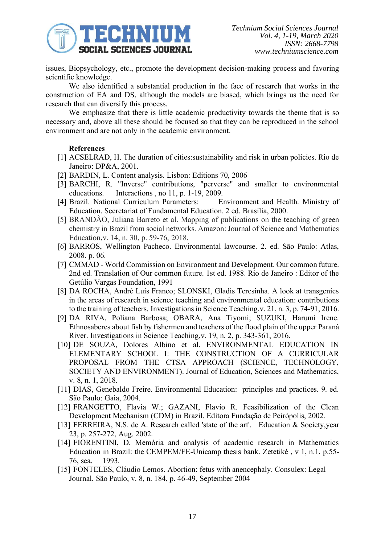

issues, Biopsychology, etc., promote the development decision-making process and favoring scientific knowledge.

We also identified a substantial production in the face of research that works in the construction of EA and DS, although the models are biased, which brings us the need for research that can diversify this process.

We emphasize that there is little academic productivity towards the theme that is so necessary and, above all these should be focused so that they can be reproduced in the school environment and are not only in the academic environment.

## **References**

- [1] ACSELRAD, H. The duration of cities:sustainability and risk in urban policies. Rio de Janeiro: DP&A, 2001.
- [2] BARDIN, L. Content analysis. Lisbon: Editions 70, 2006
- [3] BARCHI, R. "Inverse" contributions, "perverse" and smaller to environmental educations. Interactions , no 11, p. 1-19, 2009.
- [4] Brazil. National Curriculum Parameters: Environment and Health. Ministry of Education. Secretariat of Fundamental Education. 2 ed. Brasília, 2000.
- [5] BRANDÃO, Juliana Barreto et al. Mapping of publications on the teaching of green chemistry in Brazil from social networks. Amazon: Journal of Science and Mathematics Education,v. 14, n. 30, p. 59-76, 2018.
- [6] BARROS, Wellington Pacheco. Environmental lawcourse. 2. ed. São Paulo: Atlas, 2008. p. 06.
- [7] CMMAD World Commission on Environment and Development. Our common future. 2nd ed. Translation of Our common future. 1st ed. 1988. Rio de Janeiro : Editor of the Getúlio Vargas Foundation, 1991
- [8] DA ROCHA, André Luís Franco; SLONSKI, Gladis Teresinha. A look at transgenics in the areas of research in science teaching and environmental education: contributions to the training of teachers. Investigations in Science Teaching,v. 21, n. 3, p. 74-91, 2016.
- [9] DA RIVA, Poliana Barbosa; OBARA, Ana Tiyomi; SUZUKI, Harumi Irene. Ethnosaberes about fish by fishermen and teachers of the flood plain of the upper Paraná River. Investigations in Science Teaching,v. 19, n. 2, p. 343-361, 2016.
- [10] DE SOUZA, Dolores Albino et al. ENVIRONMENTAL EDUCATION IN ELEMENTARY SCHOOL I: THE CONSTRUCTION OF A CURRICULAR PROPOSAL FROM THE CTSA APPROACH (SCIENCE, TECHNOLOGY, SOCIETY AND ENVIRONMENT). Journal of Education, Sciences and Mathematics, v. 8, n. 1, 2018.
- [11] DIAS, Genebaldo Freire. Environmental Education: principles and practices. 9. ed. São Paulo: Gaia, 2004.
- [12] FRANGETTO, Flavia W.; GAZANI, Flavio R. Feasibilization of the Clean Development Mechanism (CDM) in Brazil. Editora Fundação de Peirópolis, 2002.
- [13] FERREIRA, N.S. de A. Research called 'state of the art'. Education & Society, year 23, p. 257-272, Aug. 2002.
- [14] FIORENTINI, D. Memória and analysis of academic research in Mathematics Education in Brazil: the CEMPEM/FE-Unicamp thesis bank. Zetetiké , v 1, n.1, p.55- 76, sea. 1993.
- [15] FONTELES, Cláudio Lemos. Abortion: fetus with anencephaly. Consulex: Legal Journal, São Paulo, v. 8, n. 184, p. 46-49, September 2004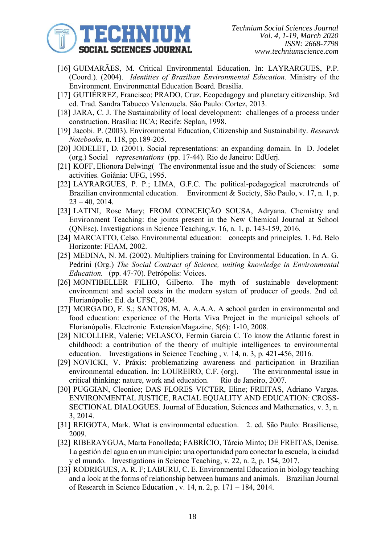

- [16] GUIMARÃES, M. Critical Environmental Education. In: LAYRARGUES, P.P. (Coord.). (2004). *Identities of Brazilian Environmental Education.* Ministry of the Environment. Environmental Education Board. Brasilia.
- [17] GUTIÉRREZ, Francisco; PRADO, Cruz. Ecopedagogy and planetary citizenship. 3rd ed. Trad. Sandra Tabucco Valenzuela. São Paulo: Cortez, 2013.
- [18] JARA, C. J. The Sustainability of local development: challenges of a process under construction. Brasília: IICA; Recife: Seplan, 1998.
- [19] Jacobi. P. (2003). Environmental Education, Citizenship and Sustainability. *Research Notebooks*, n. 118, pp.189-205.
- [20] JODELET, D. (2001). Social representations: an expanding domain. In D. Jodelet (org.) Social *representations* (pp. 17-44)*.* Rio de Janeiro: EdUerj.
- [21] KOFF, Elionora Delwing( The environmental issue and the study of Sciences: some activities. Goiânia: UFG, 1995.
- [22] LAYRARGUES, P. P.; LIMA, G.F.C. The political-pedagogical macrotrends of Brazilian environmental education. Environment & Society, São Paulo, v. 17, n. 1, p.  $23 - 40$ , 2014.
- [23] LATINI, Rose Mary; FROM CONCEIÇÃO SOUSA, Adryana. Chemistry and Environment Teaching: the joints present in the New Chemical Journal at School (QNEsc). Investigations in Science Teaching,v. 16, n. 1, p. 143-159, 2016.
- [24] MARCATTO, Celso. Environmental education: concepts and principles. 1. Ed. Belo Horizonte: FEAM, 2002.
- [25] MEDINA, N. M. (2002). Multipliers training for Environmental Education. In A. G. Pedrini (Org.) *The Social Contract of Science, uniting knowledge in Environmental Education.* (pp. 47-70). Petrópolis: Voices.
- [26] MONTIBELLER FILHO, Gilberto. The myth of sustainable development: environment and social costs in the modern system of producer of goods. 2nd ed. Florianópolis: Ed. da UFSC, 2004.
- [27] MORGADO, F. S.; SANTOS, M. A. A.A.A. A school garden in environmental and food education: experience of the Horta Viva Project in the municipal schools of Florianópolis. Electronic ExtensionMagazine, 5(6): 1-10, 2008.
- [28] NICOLLIER, Valerie; VELASCO, Fermin Garcia C. To know the Atlantic forest in childhood: a contribution of the theory of multiple intelligences to environmental education. Investigations in Science Teaching , v. 14, n. 3, p. 421-456, 2016.
- [29] NOVICKI, V. Práxis: problematizing awareness and participation in Brazilian environmental education. In: LOUREIRO, C.F. (org). The environmental issue in critical thinking: nature, work and education. Rio de Janeiro, 2007.
- [30] PUGGIAN, Cleonice; DAS FLORES VICTER, Eline; FREITAS, Adriano Vargas. ENVIRONMENTAL JUSTICE, RACIAL EQUALITY AND EDUCATION: CROSS-SECTIONAL DIALOGUES. Journal of Education, Sciences and Mathematics, v. 3, n. 3, 2014.
- [31] REIGOTA, Mark. What is environmental education. 2. ed. São Paulo: Brasiliense, 2009.
- [32] RIBERAYGUA, Marta Fonolleda; FABRÍCIO, Tárcio Minto; DE FREITAS, Denise. La gestión del agua en un município: una oportunidad para conectar la escuela, la ciudad y el mundo. Investigations in Science Teaching, v. 22, n. 2, p. 154, 2017.
- [33] RODRIGUES, A. R. F; LABURU, C. E. Environmental Education in biology teaching and a look at the forms of relationship between humans and animals. Brazilian Journal of Research in Science Education , v. 14, n. 2, p. 171 – 184, 2014.